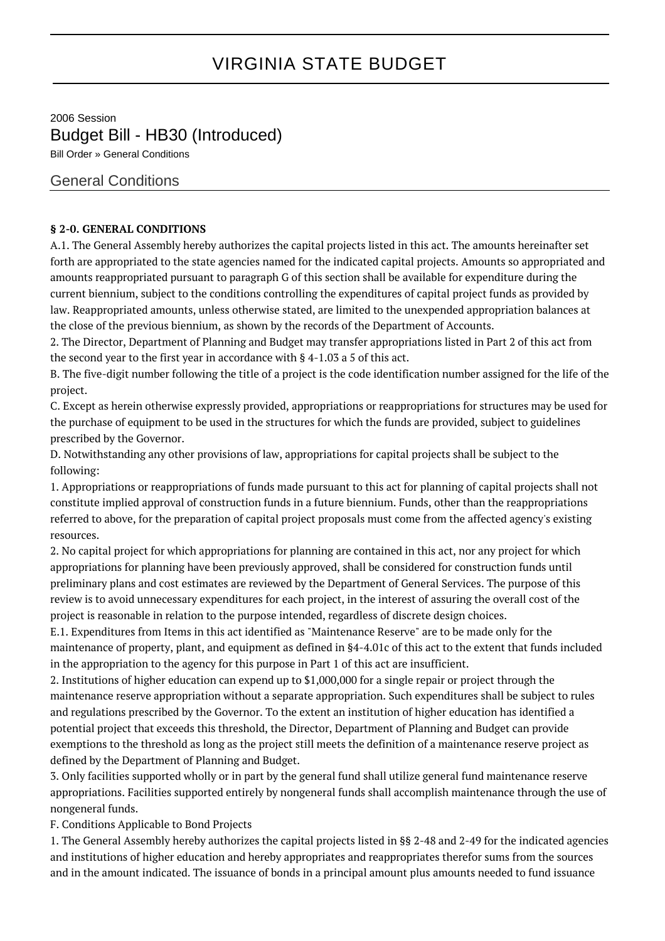## VIRGINIA STATE BUDGET

2006 Session Budget Bill - HB30 (Introduced) Bill Order » General Conditions

## General Conditions

## **§ 2-0. GENERAL CONDITIONS**

A.1. The General Assembly hereby authorizes the capital projects listed in this act. The amounts hereinafter set forth are appropriated to the state agencies named for the indicated capital projects. Amounts so appropriated and amounts reappropriated pursuant to paragraph G of this section shall be available for expenditure during the current biennium, subject to the conditions controlling the expenditures of capital project funds as provided by law. Reappropriated amounts, unless otherwise stated, are limited to the unexpended appropriation balances at the close of the previous biennium, as shown by the records of the Department of Accounts.

2. The Director, Department of Planning and Budget may transfer appropriations listed in Part 2 of this act from the second year to the first year in accordance with § 4-1.03 a 5 of this act.

B. The five-digit number following the title of a project is the code identification number assigned for the life of the project.

C. Except as herein otherwise expressly provided, appropriations or reappropriations for structures may be used for the purchase of equipment to be used in the structures for which the funds are provided, subject to guidelines prescribed by the Governor.

D. Notwithstanding any other provisions of law, appropriations for capital projects shall be subject to the following:

1. Appropriations or reappropriations of funds made pursuant to this act for planning of capital projects shall not constitute implied approval of construction funds in a future biennium. Funds, other than the reappropriations referred to above, for the preparation of capital project proposals must come from the affected agency's existing resources.

2. No capital project for which appropriations for planning are contained in this act, nor any project for which appropriations for planning have been previously approved, shall be considered for construction funds until preliminary plans and cost estimates are reviewed by the Department of General Services. The purpose of this review is to avoid unnecessary expenditures for each project, in the interest of assuring the overall cost of the project is reasonable in relation to the purpose intended, regardless of discrete design choices.

E.1. Expenditures from Items in this act identified as "Maintenance Reserve" are to be made only for the maintenance of property, plant, and equipment as defined in §4-4.01c of this act to the extent that funds included in the appropriation to the agency for this purpose in Part 1 of this act are insufficient.

2. Institutions of higher education can expend up to \$1,000,000 for a single repair or project through the maintenance reserve appropriation without a separate appropriation. Such expenditures shall be subject to rules and regulations prescribed by the Governor. To the extent an institution of higher education has identified a potential project that exceeds this threshold, the Director, Department of Planning and Budget can provide exemptions to the threshold as long as the project still meets the definition of a maintenance reserve project as defined by the Department of Planning and Budget.

3. Only facilities supported wholly or in part by the general fund shall utilize general fund maintenance reserve appropriations. Facilities supported entirely by nongeneral funds shall accomplish maintenance through the use of nongeneral funds.

F. Conditions Applicable to Bond Projects

1. The General Assembly hereby authorizes the capital projects listed in §§ 2-48 and 2-49 for the indicated agencies and institutions of higher education and hereby appropriates and reappropriates therefor sums from the sources and in the amount indicated. The issuance of bonds in a principal amount plus amounts needed to fund issuance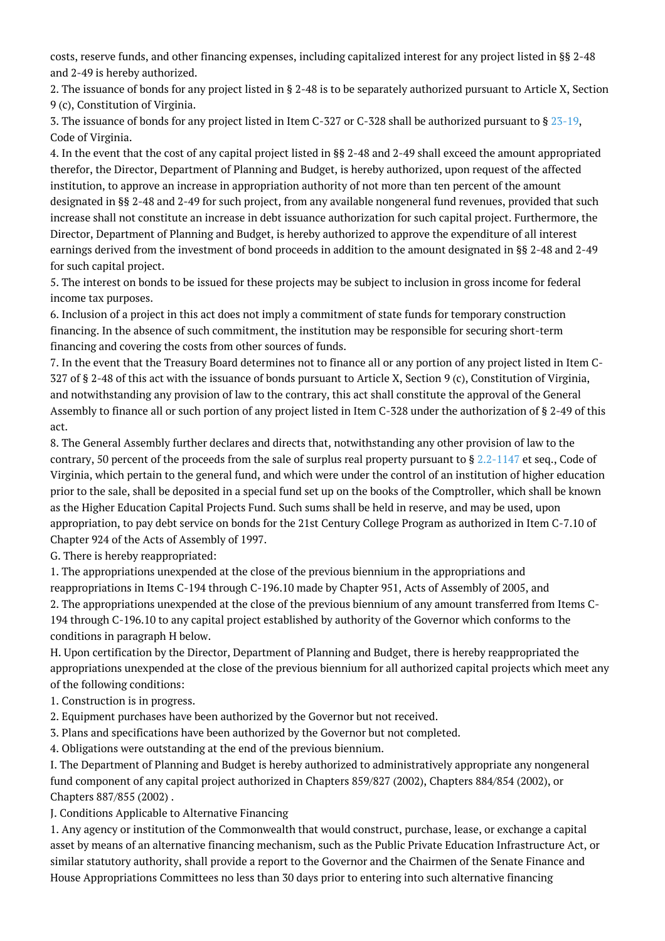costs, reserve funds, and other financing expenses, including capitalized interest for any project listed in §§ 2-48 and 2-49 is hereby authorized.

2. The issuance of bonds for any project listed in § 2-48 is to be separately authorized pursuant to Article X, Section 9 (c), Constitution of Virginia.

3. The issuance of bonds for any project listed in Item C-327 or C-328 shall be authorized pursuant to § [23-19,](http://law.lis.virginia.gov/vacode/23-19/) Code of Virginia.

4. In the event that the cost of any capital project listed in §§ 2-48 and 2-49 shall exceed the amount appropriated therefor, the Director, Department of Planning and Budget, is hereby authorized, upon request of the affected institution, to approve an increase in appropriation authority of not more than ten percent of the amount designated in §§ 2-48 and 2-49 for such project, from any available nongeneral fund revenues, provided that such increase shall not constitute an increase in debt issuance authorization for such capital project. Furthermore, the Director, Department of Planning and Budget, is hereby authorized to approve the expenditure of all interest earnings derived from the investment of bond proceeds in addition to the amount designated in §§ 2-48 and 2-49 for such capital project.

5. The interest on bonds to be issued for these projects may be subject to inclusion in gross income for federal income tax purposes.

6. Inclusion of a project in this act does not imply a commitment of state funds for temporary construction financing. In the absence of such commitment, the institution may be responsible for securing short-term financing and covering the costs from other sources of funds.

7. In the event that the Treasury Board determines not to finance all or any portion of any project listed in Item C-327 of § 2-48 of this act with the issuance of bonds pursuant to Article X, Section 9 (c), Constitution of Virginia, and notwithstanding any provision of law to the contrary, this act shall constitute the approval of the General Assembly to finance all or such portion of any project listed in Item C-328 under the authorization of § 2-49 of this act.

8. The General Assembly further declares and directs that, notwithstanding any other provision of law to the contrary, 50 percent of the proceeds from the sale of surplus real property pursuant to  $\S 2.2$ -1147 et seq., Code of Virginia, which pertain to the general fund, and which were under the control of an institution of higher education prior to the sale, shall be deposited in a special fund set up on the books of the Comptroller, which shall be known as the Higher Education Capital Projects Fund. Such sums shall be held in reserve, and may be used, upon appropriation, to pay debt service on bonds for the 21st Century College Program as authorized in Item C-7.10 of Chapter 924 of the Acts of Assembly of 1997.

G. There is hereby reappropriated:

1. The appropriations unexpended at the close of the previous biennium in the appropriations and reappropriations in Items C-194 through C-196.10 made by Chapter 951, Acts of Assembly of 2005, and 2. The appropriations unexpended at the close of the previous biennium of any amount transferred from Items C-194 through C-196.10 to any capital project established by authority of the Governor which conforms to the conditions in paragraph H below.

H. Upon certification by the Director, Department of Planning and Budget, there is hereby reappropriated the appropriations unexpended at the close of the previous biennium for all authorized capital projects which meet any of the following conditions:

- 1. Construction is in progress.
- 2. Equipment purchases have been authorized by the Governor but not received.
- 3. Plans and specifications have been authorized by the Governor but not completed.

4. Obligations were outstanding at the end of the previous biennium.

I. The Department of Planning and Budget is hereby authorized to administratively appropriate any nongeneral fund component of any capital project authorized in Chapters 859/827 (2002), Chapters 884/854 (2002), or Chapters 887/855 (2002) .

J. Conditions Applicable to Alternative Financing

1. Any agency or institution of the Commonwealth that would construct, purchase, lease, or exchange a capital asset by means of an alternative financing mechanism, such as the Public Private Education Infrastructure Act, or similar statutory authority, shall provide a report to the Governor and the Chairmen of the Senate Finance and House Appropriations Committees no less than 30 days prior to entering into such alternative financing